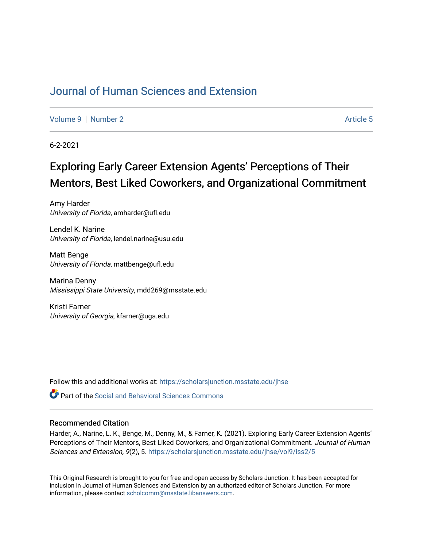## [Journal of Human Sciences and Extension](https://scholarsjunction.msstate.edu/jhse)

[Volume 9](https://scholarsjunction.msstate.edu/jhse/vol9) | [Number 2](https://scholarsjunction.msstate.edu/jhse/vol9/iss2) Article 5

6-2-2021

# Exploring Early Career Extension Agents' Perceptions of Their Mentors, Best Liked Coworkers, and Organizational Commitment

Amy Harder University of Florida, amharder@ufl.edu

Lendel K. Narine University of Florida, lendel.narine@usu.edu

Matt Benge University of Florida, mattbenge@ufl.edu

Marina Denny Mississippi State University, mdd269@msstate.edu

Kristi Farner University of Georgia, kfarner@uga.edu

Follow this and additional works at: [https://scholarsjunction.msstate.edu/jhse](https://scholarsjunction.msstate.edu/jhse?utm_source=scholarsjunction.msstate.edu%2Fjhse%2Fvol9%2Fiss2%2F5&utm_medium=PDF&utm_campaign=PDFCoverPages)

**C** Part of the Social and Behavioral Sciences Commons

#### Recommended Citation

Harder, A., Narine, L. K., Benge, M., Denny, M., & Farner, K. (2021). Exploring Early Career Extension Agents' Perceptions of Their Mentors, Best Liked Coworkers, and Organizational Commitment. Journal of Human Sciences and Extension, 9(2), 5. [https://scholarsjunction.msstate.edu/jhse/vol9/iss2/5](https://scholarsjunction.msstate.edu/jhse/vol9/iss2/5?utm_source=scholarsjunction.msstate.edu%2Fjhse%2Fvol9%2Fiss2%2F5&utm_medium=PDF&utm_campaign=PDFCoverPages)

This Original Research is brought to you for free and open access by Scholars Junction. It has been accepted for inclusion in Journal of Human Sciences and Extension by an authorized editor of Scholars Junction. For more information, please contact [scholcomm@msstate.libanswers.com](mailto:scholcomm@msstate.libanswers.com).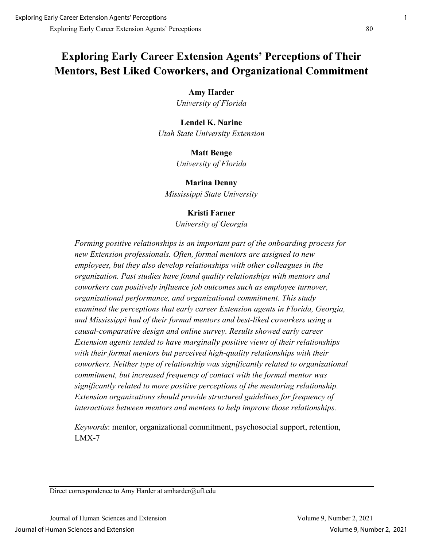## **Exploring Early Career Extension Agents' Perceptions of Their Mentors, Best Liked Coworkers, and Organizational Commitment**

### **Amy Harder**

*University of Florida*

## **Lendel K. Narine** *Utah State University Extension*

## **Matt Benge**

*University of Florida*

**Marina Denny** *Mississippi State University*

## **Kristi Farner**

*University of Georgia*

*Forming positive relationships is an important part of the onboarding process for new Extension professionals. Often, formal mentors are assigned to new employees, but they also develop relationships with other colleagues in the organization. Past studies have found quality relationships with mentors and coworkers can positively influence job outcomes such as employee turnover, organizational performance, and organizational commitment. This study examined the perceptions that early career Extension agents in Florida, Georgia, and Mississippi had of their formal mentors and best-liked coworkers using a causal-comparative design and online survey. Results showed early career Extension agents tended to have marginally positive views of their relationships with their formal mentors but perceived high-quality relationships with their coworkers. Neither type of relationship was significantly related to organizational commitment, but increased frequency of contact with the formal mentor was significantly related to more positive perceptions of the mentoring relationship. Extension organizations should provide structured guidelines for frequency of interactions between mentors and mentees to help improve those relationships.*

*Keywords*: mentor, organizational commitment, psychosocial support, retention, LMX-7

Direct correspondence to Amy Harder at amharder@ufl.edu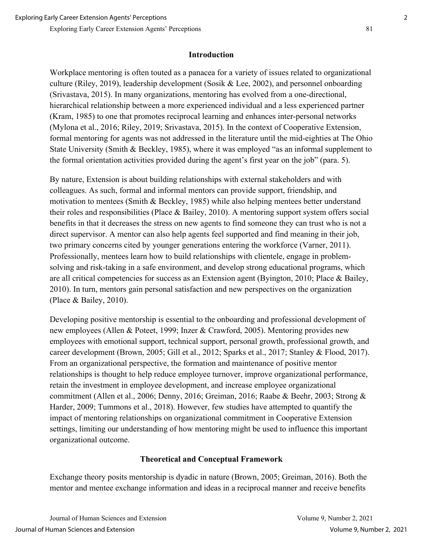## **Introduction**

Workplace mentoring is often touted as a panacea for a variety of issues related to organizational culture (Riley, 2019), leadership development (Sosik & Lee, 2002), and personnel onboarding (Srivastava, 2015). In many organizations, mentoring has evolved from a one-directional, hierarchical relationship between a more experienced individual and a less experienced partner (Kram, 1985) to one that promotes reciprocal learning and enhances inter-personal networks (Mylona et al., 2016; Riley, 2019; Srivastava, 2015). In the context of Cooperative Extension, formal mentoring for agents was not addressed in the literature until the mid-eighties at The Ohio State University (Smith & Beckley, 1985), where it was employed "as an informal supplement to the formal orientation activities provided during the agent's first year on the job" (para. 5).

By nature, Extension is about building relationships with external stakeholders and with colleagues. As such, formal and informal mentors can provide support, friendship, and motivation to mentees (Smith & Beckley, 1985) while also helping mentees better understand their roles and responsibilities (Place & Bailey, 2010). A mentoring support system offers social benefits in that it decreases the stress on new agents to find someone they can trust who is not a direct supervisor. A mentor can also help agents feel supported and find meaning in their job, two primary concerns cited by younger generations entering the workforce (Varner, 2011). Professionally, mentees learn how to build relationships with clientele, engage in problemsolving and risk-taking in a safe environment, and develop strong educational programs, which are all critical competencies for success as an Extension agent (Byington, 2010; Place & Bailey, 2010). In turn, mentors gain personal satisfaction and new perspectives on the organization (Place & Bailey, 2010).

Developing positive mentorship is essential to the onboarding and professional development of new employees (Allen & Poteet, 1999; Inzer & Crawford, 2005). Mentoring provides new employees with emotional support, technical support, personal growth, professional growth, and career development (Brown, 2005; Gill et al., 2012; Sparks et al., 2017; Stanley & Flood, 2017). From an organizational perspective, the formation and maintenance of positive mentor relationships is thought to help reduce employee turnover, improve organizational performance, retain the investment in employee development, and increase employee organizational commitment (Allen et al., 2006; Denny, 2016; Greiman, 2016; Raabe & Beehr, 2003; Strong & Harder, 2009; Tummons et al., 2018). However, few studies have attempted to quantify the impact of mentoring relationships on organizational commitment in Cooperative Extension settings, limiting our understanding of how mentoring might be used to influence this important organizational outcome.

## **Theoretical and Conceptual Framework**

Exchange theory posits mentorship is dyadic in nature (Brown, 2005; Greiman, 2016). Both the mentor and mentee exchange information and ideas in a reciprocal manner and receive benefits

Journal of Human Sciences and Extension Volume 9, Number 2, 2021 Journal of Human Sciences and Extension Volume 9, Number 2, 2021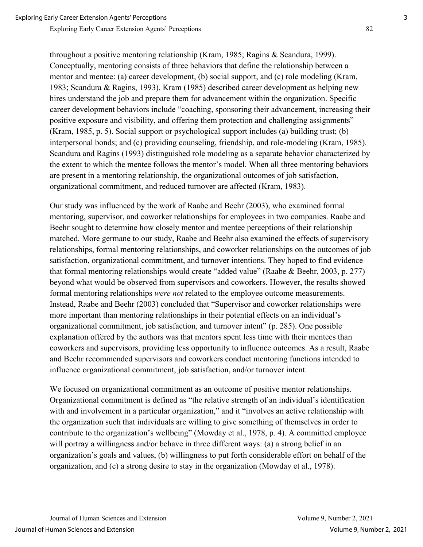throughout a positive mentoring relationship (Kram, 1985; Ragins & Scandura, 1999). Conceptually, mentoring consists of three behaviors that define the relationship between a mentor and mentee: (a) career development, (b) social support, and (c) role modeling (Kram, 1983; Scandura & Ragins, 1993). Kram (1985) described career development as helping new hires understand the job and prepare them for advancement within the organization. Specific career development behaviors include "coaching, sponsoring their advancement, increasing their positive exposure and visibility, and offering them protection and challenging assignments" (Kram, 1985, p. 5). Social support or psychological support includes (a) building trust; (b) interpersonal bonds; and (c) providing counseling, friendship, and role-modeling (Kram, 1985). Scandura and Ragins (1993) distinguished role modeling as a separate behavior characterized by the extent to which the mentee follows the mentor's model. When all three mentoring behaviors are present in a mentoring relationship, the organizational outcomes of job satisfaction, organizational commitment, and reduced turnover are affected (Kram, 1983).

Our study was influenced by the work of Raabe and Beehr (2003), who examined formal mentoring, supervisor, and coworker relationships for employees in two companies. Raabe and Beehr sought to determine how closely mentor and mentee perceptions of their relationship matched. More germane to our study, Raabe and Beehr also examined the effects of supervisory relationships, formal mentoring relationships, and coworker relationships on the outcomes of job satisfaction, organizational commitment, and turnover intentions. They hoped to find evidence that formal mentoring relationships would create "added value" (Raabe & Beehr, 2003, p. 277) beyond what would be observed from supervisors and coworkers. However, the results showed formal mentoring relationships *were not* related to the employee outcome measurements. Instead, Raabe and Beehr (2003) concluded that "Supervisor and coworker relationships were more important than mentoring relationships in their potential effects on an individual's organizational commitment, job satisfaction, and turnover intent" (p. 285). One possible explanation offered by the authors was that mentors spent less time with their mentees than coworkers and supervisors, providing less opportunity to influence outcomes. As a result, Raabe and Beehr recommended supervisors and coworkers conduct mentoring functions intended to influence organizational commitment, job satisfaction, and/or turnover intent.

We focused on organizational commitment as an outcome of positive mentor relationships. Organizational commitment is defined as "the relative strength of an individual's identification with and involvement in a particular organization," and it "involves an active relationship with the organization such that individuals are willing to give something of themselves in order to contribute to the organization's wellbeing" (Mowday et al., 1978, p. 4). A committed employee will portray a willingness and/or behave in three different ways: (a) a strong belief in an organization's goals and values, (b) willingness to put forth considerable effort on behalf of the organization, and (c) a strong desire to stay in the organization (Mowday et al., 1978).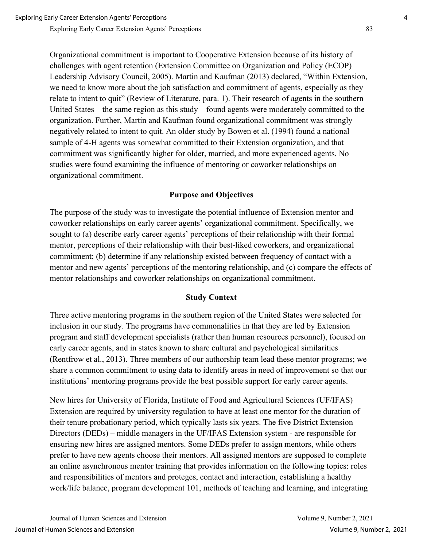Organizational commitment is important to Cooperative Extension because of its history of challenges with agent retention (Extension Committee on Organization and Policy (ECOP) Leadership Advisory Council, 2005). Martin and Kaufman (2013) declared, "Within Extension, we need to know more about the job satisfaction and commitment of agents, especially as they relate to intent to quit" (Review of Literature, para. 1). Their research of agents in the southern United States – the same region as this study – found agents were moderately committed to the organization. Further, Martin and Kaufman found organizational commitment was strongly negatively related to intent to quit. An older study by Bowen et al. (1994) found a national sample of 4-H agents was somewhat committed to their Extension organization, and that commitment was significantly higher for older, married, and more experienced agents. No studies were found examining the influence of mentoring or coworker relationships on organizational commitment.

#### **Purpose and Objectives**

The purpose of the study was to investigate the potential influence of Extension mentor and coworker relationships on early career agents' organizational commitment. Specifically, we sought to (a) describe early career agents' perceptions of their relationship with their formal mentor, perceptions of their relationship with their best-liked coworkers, and organizational commitment; (b) determine if any relationship existed between frequency of contact with a mentor and new agents' perceptions of the mentoring relationship, and (c) compare the effects of mentor relationships and coworker relationships on organizational commitment.

#### **Study Context**

Three active mentoring programs in the southern region of the United States were selected for inclusion in our study. The programs have commonalities in that they are led by Extension program and staff development specialists (rather than human resources personnel), focused on early career agents, and in states known to share cultural and psychological similarities (Rentfrow et al., 2013). Three members of our authorship team lead these mentor programs; we share a common commitment to using data to identify areas in need of improvement so that our institutions' mentoring programs provide the best possible support for early career agents.

New hires for University of Florida, Institute of Food and Agricultural Sciences (UF/IFAS) Extension are required by university regulation to have at least one mentor for the duration of their tenure probationary period, which typically lasts six years. The five District Extension Directors (DEDs) – middle managers in the UF/IFAS Extension system - are responsible for ensuring new hires are assigned mentors. Some DEDs prefer to assign mentors, while others prefer to have new agents choose their mentors. All assigned mentors are supposed to complete an online asynchronous mentor training that provides information on the following topics: roles and responsibilities of mentors and proteges, contact and interaction, establishing a healthy work/life balance, program development 101, methods of teaching and learning, and integrating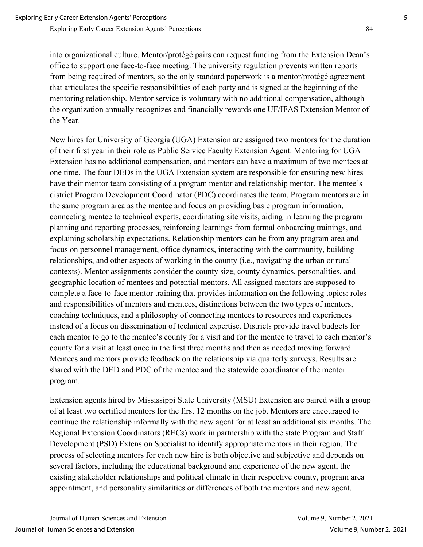into organizational culture. Mentor/protégé pairs can request funding from the Extension Dean's office to support one face-to-face meeting. The university regulation prevents written reports from being required of mentors, so the only standard paperwork is a mentor/protégé agreement that articulates the specific responsibilities of each party and is signed at the beginning of the mentoring relationship. Mentor service is voluntary with no additional compensation, although the organization annually recognizes and financially rewards one UF/IFAS Extension Mentor of the Year.

New hires for University of Georgia (UGA) Extension are assigned two mentors for the duration of their first year in their role as Public Service Faculty Extension Agent. Mentoring for UGA Extension has no additional compensation, and mentors can have a maximum of two mentees at one time. The four DEDs in the UGA Extension system are responsible for ensuring new hires have their mentor team consisting of a program mentor and relationship mentor. The mentee's district Program Development Coordinator (PDC) coordinates the team. Program mentors are in the same program area as the mentee and focus on providing basic program information, connecting mentee to technical experts, coordinating site visits, aiding in learning the program planning and reporting processes, reinforcing learnings from formal onboarding trainings, and explaining scholarship expectations. Relationship mentors can be from any program area and focus on personnel management, office dynamics, interacting with the community, building relationships, and other aspects of working in the county (i.e., navigating the urban or rural contexts). Mentor assignments consider the county size, county dynamics, personalities, and geographic location of mentees and potential mentors. All assigned mentors are supposed to complete a face-to-face mentor training that provides information on the following topics: roles and responsibilities of mentors and mentees, distinctions between the two types of mentors, coaching techniques, and a philosophy of connecting mentees to resources and experiences instead of a focus on dissemination of technical expertise. Districts provide travel budgets for each mentor to go to the mentee's county for a visit and for the mentee to travel to each mentor's county for a visit at least once in the first three months and then as needed moving forward. Mentees and mentors provide feedback on the relationship via quarterly surveys. Results are shared with the DED and PDC of the mentee and the statewide coordinator of the mentor program.

Extension agents hired by Mississippi State University (MSU) Extension are paired with a group of at least two certified mentors for the first 12 months on the job. Mentors are encouraged to continue the relationship informally with the new agent for at least an additional six months. The Regional Extension Coordinators (RECs) work in partnership with the state Program and Staff Development (PSD) Extension Specialist to identify appropriate mentors in their region. The process of selecting mentors for each new hire is both objective and subjective and depends on several factors, including the educational background and experience of the new agent, the existing stakeholder relationships and political climate in their respective county, program area appointment, and personality similarities or differences of both the mentors and new agent.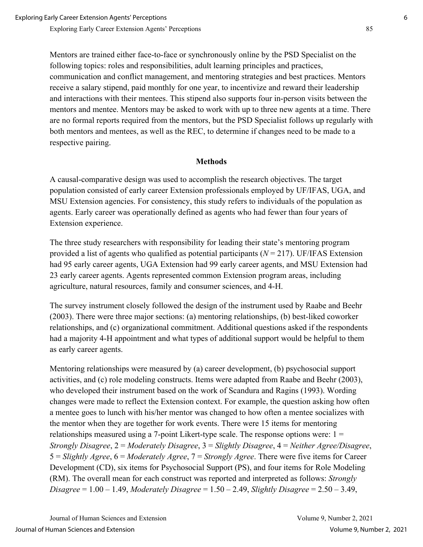Mentors are trained either face-to-face or synchronously online by the PSD Specialist on the following topics: roles and responsibilities, adult learning principles and practices, communication and conflict management, and mentoring strategies and best practices. Mentors receive a salary stipend, paid monthly for one year, to incentivize and reward their leadership and interactions with their mentees. This stipend also supports four in-person visits between the mentors and mentee. Mentors may be asked to work with up to three new agents at a time. There are no formal reports required from the mentors, but the PSD Specialist follows up regularly with both mentors and mentees, as well as the REC, to determine if changes need to be made to a respective pairing.

### **Methods**

A causal-comparative design was used to accomplish the research objectives. The target population consisted of early career Extension professionals employed by UF/IFAS, UGA, and MSU Extension agencies. For consistency, this study refers to individuals of the population as agents. Early career was operationally defined as agents who had fewer than four years of Extension experience.

The three study researchers with responsibility for leading their state's mentoring program provided a list of agents who qualified as potential participants (*N* = 217). UF/IFAS Extension had 95 early career agents, UGA Extension had 99 early career agents, and MSU Extension had 23 early career agents. Agents represented common Extension program areas, including agriculture, natural resources, family and consumer sciences, and 4-H.

The survey instrument closely followed the design of the instrument used by Raabe and Beehr (2003). There were three major sections: (a) mentoring relationships, (b) best-liked coworker relationships, and (c) organizational commitment. Additional questions asked if the respondents had a majority 4-H appointment and what types of additional support would be helpful to them as early career agents.

Mentoring relationships were measured by (a) career development, (b) psychosocial support activities, and (c) role modeling constructs. Items were adapted from Raabe and Beehr (2003), who developed their instrument based on the work of Scandura and Ragins (1993). Wording changes were made to reflect the Extension context. For example, the question asking how often a mentee goes to lunch with his/her mentor was changed to how often a mentee socializes with the mentor when they are together for work events. There were 15 items for mentoring relationships measured using a 7-point Likert-type scale. The response options were:  $1 =$ *Strongly Disagree*, 2 = *Moderately Disagree*, 3 = *Slightly Disagree*, 4 = *Neither Agree/Disagree*, 5 = *Slightly Agree*, 6 = *Moderately Agree*, 7 = *Strongly Agree*. There were five items for Career Development (CD), six items for Psychosocial Support (PS), and four items for Role Modeling (RM). The overall mean for each construct was reported and interpreted as follows: *Strongly Disagree* = 1.00 – 1.49, *Moderately Disagree* = 1.50 – 2.49, *Slightly Disagree* = 2.50 – 3.49,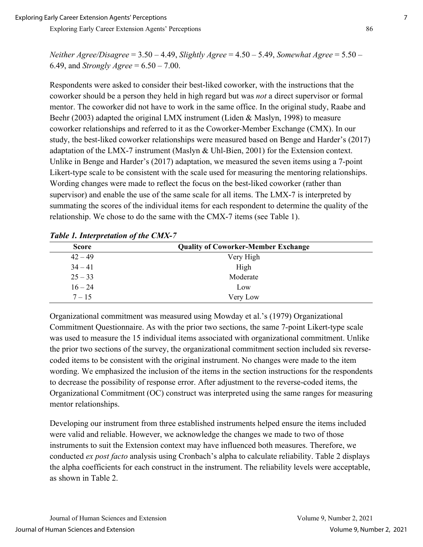*Neither Agree/Disagree* = 3.50 – 4.49, *Slightly Agree* = 4.50 – 5.49, *Somewhat Agree* = 5.50 – 6.49, and *Strongly Agree* = 6.50 – 7.00.

Respondents were asked to consider their best-liked coworker, with the instructions that the coworker should be a person they held in high regard but was *not* a direct supervisor or formal mentor. The coworker did not have to work in the same office. In the original study, Raabe and Beehr (2003) adapted the original LMX instrument (Liden & Maslyn, 1998) to measure coworker relationships and referred to it as the Coworker-Member Exchange (CMX). In our study, the best-liked coworker relationships were measured based on Benge and Harder's (2017) adaptation of the LMX-7 instrument (Maslyn & Uhl-Bien, 2001) for the Extension context. Unlike in Benge and Harder's (2017) adaptation, we measured the seven items using a 7-point Likert-type scale to be consistent with the scale used for measuring the mentoring relationships. Wording changes were made to reflect the focus on the best-liked coworker (rather than supervisor) and enable the use of the same scale for all items. The LMX-7 is interpreted by summating the scores of the individual items for each respondent to determine the quality of the relationship. We chose to do the same with the CMX-7 items (see Table 1).

| <b>Score</b> | <b>Quality of Coworker-Member Exchange</b> |
|--------------|--------------------------------------------|
| $42 - 49$    | Very High                                  |
| $34 - 41$    | High                                       |
| $25 - 33$    | Moderate                                   |
| $16 - 24$    | Low                                        |
| $7 - 15$     | Very Low                                   |

*Table 1. Interpretation of the CMX-7* 

Organizational commitment was measured using Mowday et al.'s (1979) Organizational Commitment Questionnaire. As with the prior two sections, the same 7-point Likert-type scale was used to measure the 15 individual items associated with organizational commitment. Unlike the prior two sections of the survey, the organizational commitment section included six reversecoded items to be consistent with the original instrument. No changes were made to the item wording. We emphasized the inclusion of the items in the section instructions for the respondents to decrease the possibility of response error. After adjustment to the reverse-coded items, the Organizational Commitment (OC) construct was interpreted using the same ranges for measuring mentor relationships.

Developing our instrument from three established instruments helped ensure the items included were valid and reliable. However, we acknowledge the changes we made to two of those instruments to suit the Extension context may have influenced both measures. Therefore, we conducted *ex post facto* analysis using Cronbach's alpha to calculate reliability. Table 2 displays the alpha coefficients for each construct in the instrument. The reliability levels were acceptable, as shown in Table 2.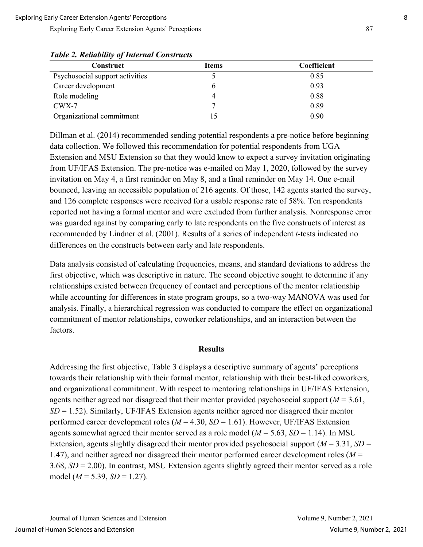| <b>Construct</b>                | <b>Items</b> | Coefficient |
|---------------------------------|--------------|-------------|
| Psychosocial support activities |              | 0.85        |
| Career development              |              | 0.93        |
| Role modeling                   |              | 0.88        |
| $CWX-7$                         |              | 0.89        |
| Organizational commitment       |              | 0.90        |

*Table 2. Reliability of Internal Constructs*

Dillman et al. (2014) recommended sending potential respondents a pre-notice before beginning data collection. We followed this recommendation for potential respondents from UGA Extension and MSU Extension so that they would know to expect a survey invitation originating from UF/IFAS Extension. The pre-notice was e-mailed on May 1, 2020, followed by the survey invitation on May 4, a first reminder on May 8, and a final reminder on May 14. One e-mail bounced, leaving an accessible population of 216 agents. Of those, 142 agents started the survey, and 126 complete responses were received for a usable response rate of 58%. Ten respondents reported not having a formal mentor and were excluded from further analysis. Nonresponse error was guarded against by comparing early to late respondents on the five constructs of interest as recommended by Lindner et al. (2001). Results of a series of independent *t*-tests indicated no differences on the constructs between early and late respondents.

Data analysis consisted of calculating frequencies, means, and standard deviations to address the first objective, which was descriptive in nature. The second objective sought to determine if any relationships existed between frequency of contact and perceptions of the mentor relationship while accounting for differences in state program groups, so a two-way MANOVA was used for analysis. Finally, a hierarchical regression was conducted to compare the effect on organizational commitment of mentor relationships, coworker relationships, and an interaction between the factors.

#### **Results**

Addressing the first objective, Table 3 displays a descriptive summary of agents' perceptions towards their relationship with their formal mentor, relationship with their best-liked coworkers, and organizational commitment. With respect to mentoring relationships in UF/IFAS Extension, agents neither agreed nor disagreed that their mentor provided psychosocial support (*M* = 3.61, *SD* = 1.52). Similarly, UF/IFAS Extension agents neither agreed nor disagreed their mentor performed career development roles ( $M = 4.30$ ,  $SD = 1.61$ ). However, UF/IFAS Extension agents somewhat agreed their mentor served as a role model ( $M = 5.63$ ,  $SD = 1.14$ ). In MSU Extension, agents slightly disagreed their mentor provided psychosocial support ( $M = 3.31$ ,  $SD =$ 1.47), and neither agreed nor disagreed their mentor performed career development roles (*M* = 3.68, *SD* = 2.00). In contrast, MSU Extension agents slightly agreed their mentor served as a role model (*M* = 5.39, *SD* = 1.27).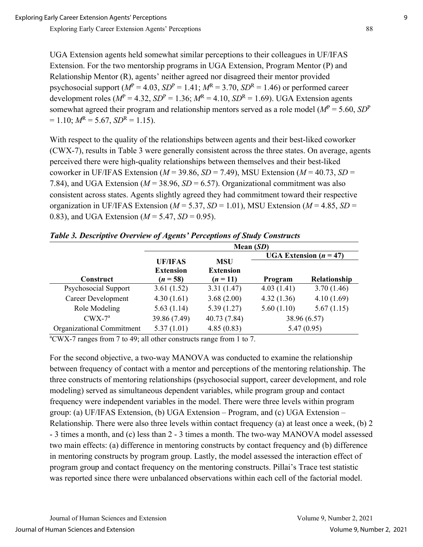UGA Extension agents held somewhat similar perceptions to their colleagues in UF/IFAS Extension. For the two mentorship programs in UGA Extension, Program Mentor (P) and Relationship Mentor (R), agents' neither agreed nor disagreed their mentor provided psychosocial support  $(M^P = 4.03, SD^P = 1.41; M^R = 3.70, SD^R = 1.46$ ) or performed career development roles ( $M^P = 4.32$ ,  $SD^P = 1.36$ ;  $M^R = 4.10$ ,  $SD^R = 1.69$ ). UGA Extension agents somewhat agreed their program and relationship mentors served as a role model (*M*<sup>P</sup> = 5.60, *SD*<sup>P</sup>  $= 1.10$ ;  $M<sup>R</sup> = 5.67$ ,  $SD<sup>R</sup> = 1.15$ ).

With respect to the quality of the relationships between agents and their best-liked coworker (CWX-7), results in Table 3 were generally consistent across the three states. On average, agents perceived there were high-quality relationships between themselves and their best-liked coworker in UF/IFAS Extension ( $M = 39.86$ ,  $SD = 7.49$ ), MSU Extension ( $M = 40.73$ ,  $SD =$ 7.84), and UGA Extension (*M* = 38.96, *SD* = 6.57). Organizational commitment was also consistent across states. Agents slightly agreed they had commitment toward their respective organization in UF/IFAS Extension ( $M = 5.37$ ,  $SD = 1.01$ ), MSU Extension ( $M = 4.85$ ,  $SD =$ 0.83), and UGA Extension ( $M = 5.47$ ,  $SD = 0.95$ ).

|                           | Mean $(SD)$                                      |                                            |                                 |              |  |  |
|---------------------------|--------------------------------------------------|--------------------------------------------|---------------------------------|--------------|--|--|
|                           |                                                  |                                            | <b>UGA</b> Extension $(n = 47)$ |              |  |  |
| Construct                 | <b>UF/IFAS</b><br><b>Extension</b><br>$(n = 58)$ | <b>MSU</b><br><b>Extension</b><br>$(n=11)$ | Program                         | Relationship |  |  |
| Psychosocial Support      | 3.61(1.52)                                       | 3.31(1.47)                                 | 4.03(1.41)                      | 3.70(1.46)   |  |  |
| <b>Career Development</b> | 4.30(1.61)                                       | 3.68(2.00)                                 | 4.32(1.36)                      | 4.10(1.69)   |  |  |
| Role Modeling             | 5.63(1.14)                                       | 5.39(1.27)                                 | 5.60(1.10)                      | 5.67(1.15)   |  |  |
| $CWX-7^a$                 | 39.86 (7.49)                                     | 40.73 (7.84)                               | 38.96 (6.57)                    |              |  |  |
| Organizational Commitment | 5.37(1.01)                                       | 4.85(0.83)                                 |                                 | 5.47(0.95)   |  |  |

| Table 3. Descriptive Overview of Agents' Perceptions of Study Constructs |  |  |  |
|--------------------------------------------------------------------------|--|--|--|
|                                                                          |  |  |  |

a CWX-7 ranges from 7 to 49; all other constructs range from 1 to 7.

For the second objective, a two-way MANOVA was conducted to examine the relationship between frequency of contact with a mentor and perceptions of the mentoring relationship. The three constructs of mentoring relationships (psychosocial support, career development, and role modeling) served as simultaneous dependent variables, while program group and contact frequency were independent variables in the model. There were three levels within program group: (a) UF/IFAS Extension, (b) UGA Extension – Program, and (c) UGA Extension – Relationship. There were also three levels within contact frequency (a) at least once a week, (b) 2 - 3 times a month, and (c) less than 2 - 3 times a month. The two-way MANOVA model assessed two main effects: (a) difference in mentoring constructs by contact frequency and (b) difference in mentoring constructs by program group. Lastly, the model assessed the interaction effect of program group and contact frequency on the mentoring constructs. Pillai's Trace test statistic was reported since there were unbalanced observations within each cell of the factorial model.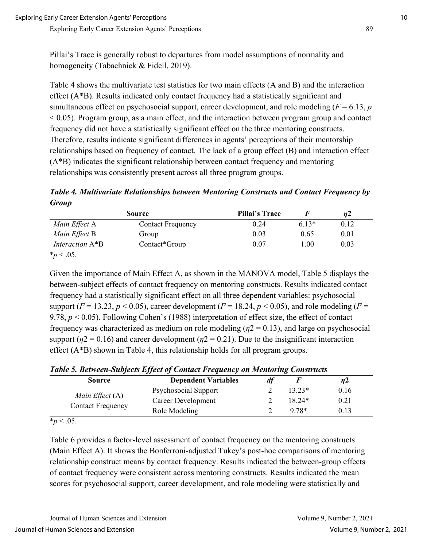Pillai's Trace is generally robust to departures from model assumptions of normality and homogeneity (Tabachnick & Fidell, 2019).

Table 4 shows the multivariate test statistics for two main effects (A and B) and the interaction effect (A\*B). Results indicated only contact frequency had a statistically significant and simultaneous effect on psychosocial support, career development, and role modeling (*F* = 6.13, *p*  $\leq$  0.05). Program group, as a main effect, and the interaction between program group and contact frequency did not have a statistically significant effect on the three mentoring constructs. Therefore, results indicate significant differences in agents' perceptions of their mentorship relationships based on frequency of contact. The lack of a group effect (B) and interaction effect (A\*B) indicates the significant relationship between contact frequency and mentoring relationships was consistently present across all three program groups.

*Table 4. Multivariate Relationships between Mentoring Constructs and Contact Frequency by Group*

| <b>Source</b>    |                          | Pillai's Trace |         | n2   |
|------------------|--------------------------|----------------|---------|------|
| Main Effect A    | <b>Contact Frequency</b> | 0.24           | $6.13*$ | 0.12 |
| Main Effect B    | Group                    | 0.03           | 0.65    | 0.01 |
| Interaction A*B  | Contact*Group            | 0.07           | 1.00    | 0.03 |
| <i>*p</i> < .05. |                          |                |         |      |

Given the importance of Main Effect A, as shown in the MANOVA model, Table 5 displays the between-subject effects of contact frequency on mentoring constructs. Results indicated contact frequency had a statistically significant effect on all three dependent variables: psychosocial support ( $F = 13.23$ ,  $p < 0.05$ ), career development ( $F = 18.24$ ,  $p < 0.05$ ), and role modeling ( $F =$ 9.78, *p* < 0.05). Following Cohen's (1988) interpretation of effect size, the effect of contact frequency was characterized as medium on role modeling (*η*2 = 0.13), and large on psychosocial support ( $\eta$ 2 = 0.16) and career development ( $\eta$ 2 = 0.21). Due to the insignificant interaction effect (A\*B) shown in Table 4, this relationship holds for all program groups.

*Table 5. Between-Subjects Effect of Contact Frequency on Mentoring Constructs* 

| <b>Source</b>                                 | <b>Dependent Variables</b> |          | nz   |
|-----------------------------------------------|----------------------------|----------|------|
| Main Effect $(A)$<br><b>Contact Frequency</b> | Psychosocial Support       | $13.23*$ | 0.16 |
|                                               | Career Development         | $18.24*$ | 0.21 |
|                                               | Role Modeling              | $9.78*$  | 0.13 |

 $*_{p}$  < .05.

Table 6 provides a factor-level assessment of contact frequency on the mentoring constructs (Main Effect A). It shows the Bonferroni-adjusted Tukey's post-hoc comparisons of mentoring relationship construct means by contact frequency. Results indicated the between-group effects of contact frequency were consistent across mentoring constructs. Results indicated the mean scores for psychosocial support, career development, and role modeling were statistically and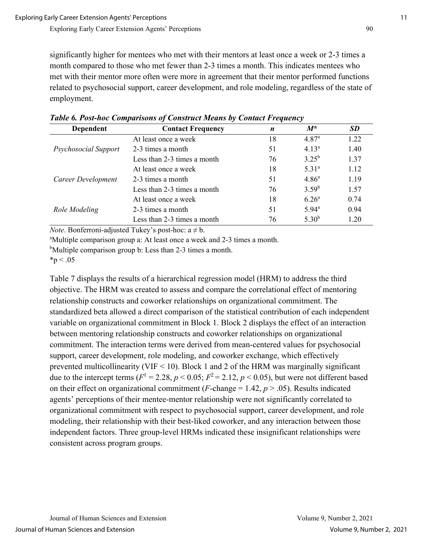significantly higher for mentees who met with their mentors at least once a week or 2-3 times a month compared to those who met fewer than 2-3 times a month. This indicates mentees who met with their mentor more often were more in agreement that their mentor performed functions related to psychosocial support, career development, and role modeling, regardless of the state of employment.

| Dependent            | <b>Contact Frequency</b>    | $\boldsymbol{n}$ | $M^*$             | <b>SD</b> |
|----------------------|-----------------------------|------------------|-------------------|-----------|
|                      | At least once a week        | 18               | 4.87 <sup>a</sup> | 1.22      |
| Psychosocial Support | 2-3 times a month           | 51               | $4.13^{a}$        | 1.40      |
|                      | Less than 2-3 times a month | 76               | $3.25^{b}$        | 1.37      |
| Career Development   | At least once a week        | 18               | $5.31^{\circ}$    | 1.12      |
|                      | 2-3 times a month           | 51               | $4.86^{\circ}$    | 1.19      |
|                      | Less than 2-3 times a month | 76               | $3.59^{b}$        | 1.57      |
| Role Modeling        | At least once a week        | 18               | $6.26^{\rm a}$    | 0.74      |
|                      | 2-3 times a month           | 51               | $5.94^{\circ}$    | 0.94      |
|                      | Less than 2-3 times a month | 76               | $5.30^{b}$        | 1.20      |

*Table 6. Post-hoc Comparisons of Construct Means by Contact Frequency*

*Note*. Bonferroni-adjusted Tukey's post-hoc:  $a \neq b$ .

Multiple comparison group a: At least once a week and 2-3 times a month.

<sup>b</sup>Multiple comparison group b: Less than 2-3 times a month.

 $*_{p}$  < .05

Table 7 displays the results of a hierarchical regression model (HRM) to address the third objective. The HRM was created to assess and compare the correlational effect of mentoring relationship constructs and coworker relationships on organizational commitment. The standardized beta allowed a direct comparison of the statistical contribution of each independent variable on organizational commitment in Block 1. Block 2 displays the effect of an interaction between mentoring relationship constructs and coworker relationships on organizational commitment. The interaction terms were derived from mean-centered values for psychosocial support, career development, role modeling, and coworker exchange, which effectively prevented multicollinearity (VIF < 10). Block 1 and 2 of the HRM was marginally significant due to the intercept terms  $(F^1 = 2.28, p \le 0.05; F^2 = 2.12, p \le 0.05)$ , but were not different based on their effect on organizational commitment ( $F$ -change = 1.42,  $p > .05$ ). Results indicated agents' perceptions of their mentee-mentor relationship were not significantly correlated to organizational commitment with respect to psychosocial support, career development, and role modeling, their relationship with their best-liked coworker, and any interaction between those independent factors. Three group-level HRMs indicated these insignificant relationships were consistent across program groups.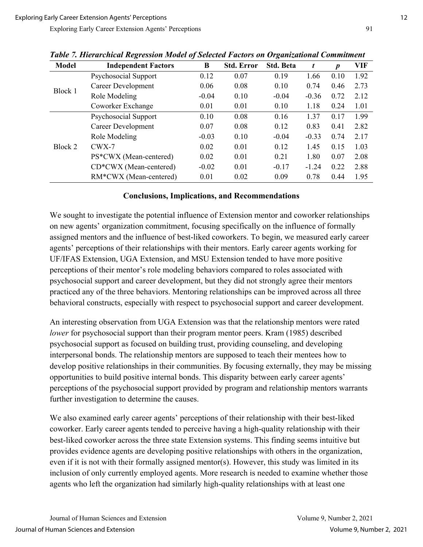| <b>Model</b> | o<br><b>Independent Factors</b> | J<br>B  | <b>Std. Error</b> | $\cdot$<br><b>Std. Beta</b> | t       | $\boldsymbol{p}$ | <b>VIF</b> |
|--------------|---------------------------------|---------|-------------------|-----------------------------|---------|------------------|------------|
| Block 1      | Psychosocial Support            | 0.12    | 0.07              | 0.19                        | 1.66    | 0.10             | 1.92       |
|              | <b>Career Development</b>       | 0.06    | 0.08              | 0.10                        | 0.74    | 0.46             | 2.73       |
|              | Role Modeling                   | $-0.04$ | 0.10              | $-0.04$                     | $-0.36$ | 0.72             | 2.12       |
|              | Coworker Exchange               | 0.01    | 0.01              | 0.10                        | 1.18    | 0.24             | 1.01       |
| Block 2      | Psychosocial Support            | 0.10    | 0.08              | 0.16                        | 1.37    | 0.17             | 1.99       |
|              | <b>Career Development</b>       | 0.07    | 0.08              | 0.12                        | 0.83    | 0.41             | 2.82       |
|              | Role Modeling                   | $-0.03$ | 0.10              | $-0.04$                     | $-0.33$ | 0.74             | 2.17       |
|              | $CWX-7$                         | 0.02    | 0.01              | 0.12                        | 1.45    | 0.15             | 1.03       |
|              | PS*CWX (Mean-centered)          | 0.02    | 0.01              | 0.21                        | 1.80    | 0.07             | 2.08       |
|              | CD*CWX (Mean-centered)          | $-0.02$ | 0.01              | $-0.17$                     | $-1.24$ | 0.22             | 2.88       |
|              | RM*CWX (Mean-centered)          | 0.01    | 0.02              | 0.09                        | 0.78    | 0.44             | 1.95       |

*Table 7. Hierarchical Regression Model of Selected Factors on Organizational Commitment* 

#### **Conclusions, Implications, and Recommendations**

We sought to investigate the potential influence of Extension mentor and coworker relationships on new agents' organization commitment, focusing specifically on the influence of formally assigned mentors and the influence of best-liked coworkers. To begin, we measured early career agents' perceptions of their relationships with their mentors. Early career agents working for UF/IFAS Extension, UGA Extension, and MSU Extension tended to have more positive perceptions of their mentor's role modeling behaviors compared to roles associated with psychosocial support and career development, but they did not strongly agree their mentors practiced any of the three behaviors. Mentoring relationships can be improved across all three behavioral constructs, especially with respect to psychosocial support and career development.

An interesting observation from UGA Extension was that the relationship mentors were rated *lower* for psychosocial support than their program mentor peers. Kram (1985) described psychosocial support as focused on building trust, providing counseling, and developing interpersonal bonds. The relationship mentors are supposed to teach their mentees how to develop positive relationships in their communities. By focusing externally, they may be missing opportunities to build positive internal bonds. This disparity between early career agents' perceptions of the psychosocial support provided by program and relationship mentors warrants further investigation to determine the causes.

We also examined early career agents' perceptions of their relationship with their best-liked coworker. Early career agents tended to perceive having a high-quality relationship with their best-liked coworker across the three state Extension systems. This finding seems intuitive but provides evidence agents are developing positive relationships with others in the organization, even if it is not with their formally assigned mentor(s). However, this study was limited in its inclusion of only currently employed agents. More research is needed to examine whether those agents who left the organization had similarly high-quality relationships with at least one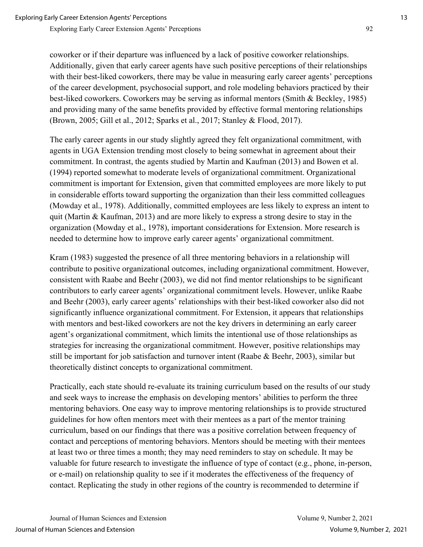coworker or if their departure was influenced by a lack of positive coworker relationships. Additionally, given that early career agents have such positive perceptions of their relationships with their best-liked coworkers, there may be value in measuring early career agents' perceptions of the career development, psychosocial support, and role modeling behaviors practiced by their best-liked coworkers. Coworkers may be serving as informal mentors (Smith & Beckley, 1985) and providing many of the same benefits provided by effective formal mentoring relationships (Brown, 2005; Gill et al., 2012; Sparks et al., 2017; Stanley & Flood, 2017).

The early career agents in our study slightly agreed they felt organizational commitment, with agents in UGA Extension trending most closely to being somewhat in agreement about their commitment. In contrast, the agents studied by Martin and Kaufman (2013) and Bowen et al. (1994) reported somewhat to moderate levels of organizational commitment. Organizational commitment is important for Extension, given that committed employees are more likely to put in considerable efforts toward supporting the organization than their less committed colleagues (Mowday et al., 1978). Additionally, committed employees are less likely to express an intent to quit (Martin & Kaufman, 2013) and are more likely to express a strong desire to stay in the organization (Mowday et al., 1978), important considerations for Extension. More research is needed to determine how to improve early career agents' organizational commitment.

Kram (1983) suggested the presence of all three mentoring behaviors in a relationship will contribute to positive organizational outcomes, including organizational commitment. However, consistent with Raabe and Beehr (2003), we did not find mentor relationships to be significant contributors to early career agents' organizational commitment levels. However, unlike Raabe and Beehr (2003), early career agents' relationships with their best-liked coworker also did not significantly influence organizational commitment. For Extension, it appears that relationships with mentors and best-liked coworkers are not the key drivers in determining an early career agent's organizational commitment, which limits the intentional use of those relationships as strategies for increasing the organizational commitment. However, positive relationships may still be important for job satisfaction and turnover intent (Raabe & Beehr, 2003), similar but theoretically distinct concepts to organizational commitment.

Practically, each state should re-evaluate its training curriculum based on the results of our study and seek ways to increase the emphasis on developing mentors' abilities to perform the three mentoring behaviors. One easy way to improve mentoring relationships is to provide structured guidelines for how often mentors meet with their mentees as a part of the mentor training curriculum, based on our findings that there was a positive correlation between frequency of contact and perceptions of mentoring behaviors. Mentors should be meeting with their mentees at least two or three times a month; they may need reminders to stay on schedule. It may be valuable for future research to investigate the influence of type of contact (e.g., phone, in-person, or e-mail) on relationship quality to see if it moderates the effectiveness of the frequency of contact. Replicating the study in other regions of the country is recommended to determine if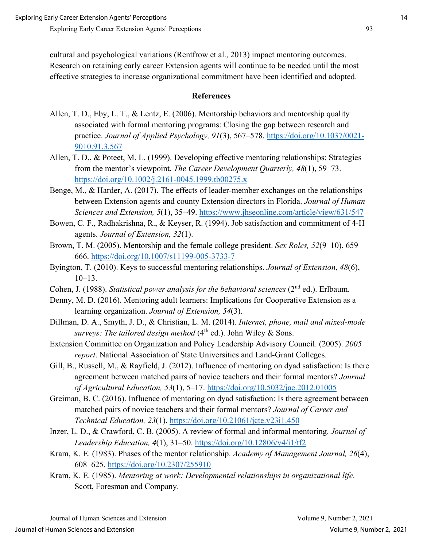cultural and psychological variations (Rentfrow et al., 2013) impact mentoring outcomes. Research on retaining early career Extension agents will continue to be needed until the most effective strategies to increase organizational commitment have been identified and adopted.

#### **References**

- Allen, T. D., Eby, L. T., & Lentz, E. (2006). Mentorship behaviors and mentorship quality associated with formal mentoring programs: Closing the gap between research and practice. *Journal of Applied Psychology, 91*(3), 567–578. [https://doi.org/10.1037/0021-](https://doi.org/10.1037/0021-9010.91.3.567) [9010.91.3.567](https://doi.org/10.1037/0021-9010.91.3.567)
- Allen, T. D., & Poteet, M. L. (1999). Developing effective mentoring relationships: Strategies from the mentor's viewpoint. *The Career Development Quarterly, 48*(1), 59–73. <https://doi.org/10.1002/j.2161-0045.1999.tb00275.x>
- Benge, M., & Harder, A. (2017). The effects of leader-member exchanges on the relationships between Extension agents and county Extension directors in Florida. *Journal of Human Sciences and Extension, 5*(1), 35–49. <https://www.jhseonline.com/article/view/631/547>
- Bowen, C. F., Radhakrishna, R., & Keyser, R. (1994). Job satisfaction and commitment of 4-H agents. *Journal of Extension, 32*(1).
- Brown, T. M. (2005). Mentorship and the female college president. *Sex Roles, 52*(9–10), 659– 666.<https://doi.org/10.1007/s11199-005-3733-7>
- Byington, T. (2010). Keys to successful mentoring relationships. *Journal of Extension*, *48*(6), 10–13.
- Cohen, J. (1988). *Statistical power analysis for the behavioral sciences* (2nd ed.). Erlbaum.
- Denny, M. D. (2016). Mentoring adult learners: Implications for Cooperative Extension as a learning organization. *Journal of Extension, 54*(3).
- Dillman, D. A., Smyth, J. D., & Christian, L. M. (2014). *Internet, phone, mail and mixed-mode surveys: The tailored design method* (4<sup>th</sup> ed.). John Wiley & Sons.
- Extension Committee on Organization and Policy Leadership Advisory Council. (2005). *2005 report*. National Association of State Universities and Land-Grant Colleges.
- Gill, B., Russell, M., & Rayfield, J. (2012). Influence of mentoring on dyad satisfaction: Is there agreement between matched pairs of novice teachers and their formal mentors? *Journal of Agricultural Education, 53*(1), 5–17.<https://doi.org/10.5032/jae.2012.01005>
- Greiman, B. C. (2016). Influence of mentoring on dyad satisfaction: Is there agreement between matched pairs of novice teachers and their formal mentors? *Journal of Career and Technical Education, 23*(1).<https://doi.org/10.21061/jcte.v23i1.450>
- Inzer, L. D., & Crawford, C. B. (2005). A review of formal and informal mentoring. *Journal of Leadership Education, 4*(1), 31–50.<https://doi.org/10.12806/v4/i1/tf2>
- Kram, K. E. (1983). Phases of the mentor relationship. *Academy of Management Journal, 26*(4), 608–625. [https://doi.org/10.2307/255910](https://psycnet.apa.org/doi/10.2307/255910)
- Kram, K. E. (1985). *Mentoring at work: Developmental relationships in organizational life*. Scott, Foresman and Company.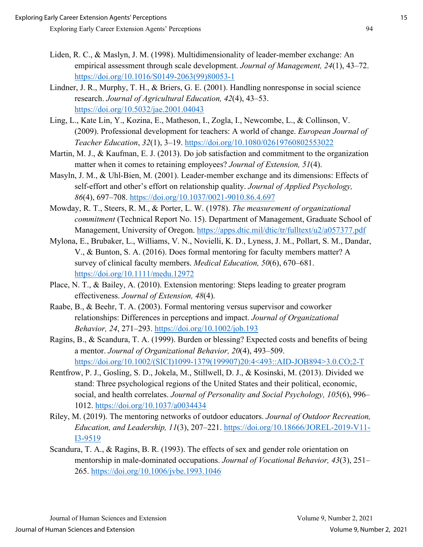- Liden, R. C., & Maslyn, J. M. (1998). Multidimensionality of leader-member exchange: An empirical assessment through scale development. *Journal of Management, 24*(1), 43–72. [https://doi.org/10.1016/S0149-2063\(99\)80053-1](https://doi.org/10.1016/S0149-2063(99)80053-1)
- Lindner, J. R., Murphy, T. H., & Briers, G. E. (2001). Handling nonresponse in social science research. *Journal of Agricultural Education, 42*(4), 43–53. <https://doi.org/10.5032/jae.2001.04043>
- Ling, L., Kate Lin, Y., Kozina, E., Matheson, I., Zogla, I., Newcombe, L., & Collinson, V. (2009). Professional development for teachers: A world of change. *European Journal of Teacher Education*, *32*(1), 3–19.<https://doi.org/10.1080/02619760802553022>
- Martin, M. J., & Kaufman, E. J. (2013). Do job satisfaction and commitment to the organization matter when it comes to retaining employees? *Journal of Extension, 51*(4).
- Masyln, J. M., & Uhl-Bien, M. (2001). Leader-member exchange and its dimensions: Effects of self-effort and other's effort on relationship quality. *Journal of Applied Psychology, 86*(4), 697–708.<https://doi.org/10.1037/0021-9010.86.4.697>
- Mowday, R. T., Steers, R. M., & Porter, L. W. (1978). *The measurement of organizational commitment* (Technical Report No. 15). Department of Management, Graduate School of Management, University of Oregon.<https://apps.dtic.mil/dtic/tr/fulltext/u2/a057377.pdf>
- Mylona, E., Brubaker, L., Williams, V. N., Novielli, K. D., Lyness, J. M., Pollart, S. M., Dandar, V., & Bunton, S. A. (2016). Does formal mentoring for faculty members matter? A survey of clinical faculty members. *Medical Education, 50*(6), 670–681. <https://doi.org/10.1111/medu.12972>
- Place, N. T., & Bailey, A. (2010). Extension mentoring: Steps leading to greater program effectiveness. *Journal of Extension, 48*(4).
- Raabe, B., & Beehr, T. A. (2003). Formal mentoring versus supervisor and coworker relationships: Differences in perceptions and impact. *Journal of Organizational Behavior, 24*, 271–293.<https://doi.org/10.1002/job.193>
- Ragins, B., & Scandura, T. A. (1999). Burden or blessing? Expected costs and benefits of being a mentor. *Journal of Organizational Behavior, 20*(4), 493–509. [https://doi.org/10.1002/\(SICI\)1099-1379\(199907\)20:4<493::AID-JOB894>3.0.CO;2-T](https://doi.org/10.1002/(SICI)1099-1379(199907)20:4%3c493::AID-JOB894%3e3.0.CO;2-T)
- Rentfrow, P. J., Gosling, S. D., Jokela, M., Stillwell, D. J., & Kosinski, M. (2013). Divided we stand: Three psychological regions of the United States and their political, economic, social, and health correlates. *Journal of Personality and Social Psychology, 105*(6), 996– 1012.<https://doi.org/10.1037/a0034434>
- Riley, M. (2019). The mentoring networks of outdoor educators. *Journal of Outdoor Recreation, Education, and Leadership, 11*(3), 207–221. [https://doi.org/10.18666/JOREL-2019-V11-](https://doi.org/10.18666/JOREL-2019-V11-I3-9519) [I3-9519](https://doi.org/10.18666/JOREL-2019-V11-I3-9519)
- Scandura, T. A., & Ragins, B. R. (1993). The effects of sex and gender role orientation on mentorship in male-dominated occupations. *Journal of Vocational Behavior, 43*(3), 251– 265.<https://doi.org/10.1006/jvbe.1993.1046>